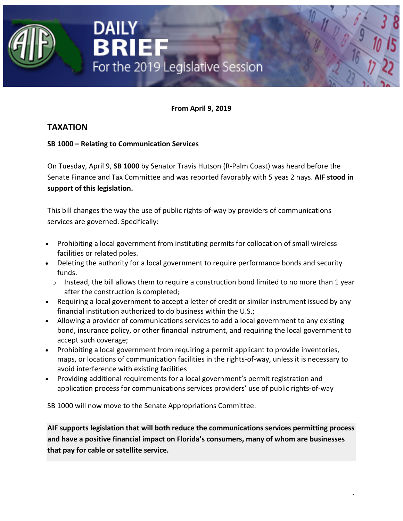

**From April 9, 2019**

# **TAXATION**

## **SB 1000 – Relating to Communication Services**

On Tuesday, April 9, **SB 1000** by Senator Travis Hutson (R-Palm Coast) was heard before the Senate Finance and Tax Committee and was reported favorably with 5 yeas 2 nays. **AIF stood in support of this legislation.**

This bill changes the way the use of public rights-of-way by providers of communications services are governed. Specifically:

- Prohibiting a local government from instituting permits for collocation of small wireless facilities or related poles.
- Deleting the authority for a local government to require performance bonds and security funds.
	- o Instead, the bill allows them to require a construction bond limited to no more than 1 year after the construction is completed;
- Requiring a local government to accept a letter of credit or similar instrument issued by any financial institution authorized to do business within the U.S.;
- Allowing a provider of communications services to add a local government to any existing bond, insurance policy, or other financial instrument, and requiring the local government to accept such coverage;
- Prohibiting a local government from requiring a permit applicant to provide inventories, maps, or locations of communication facilities in the rights-of-way, unless it is necessary to avoid interference with existing facilities
- Providing additional requirements for a local government's permit registration and application process for communications services providers' use of public rights-of-way

SB 1000 will now move to the Senate Appropriations Committee.

**AIF supports legislation that will both reduce the communications services permitting process and have a positive financial impact on Florida's consumers, many of whom are businesses that pay for cable or satellite service.**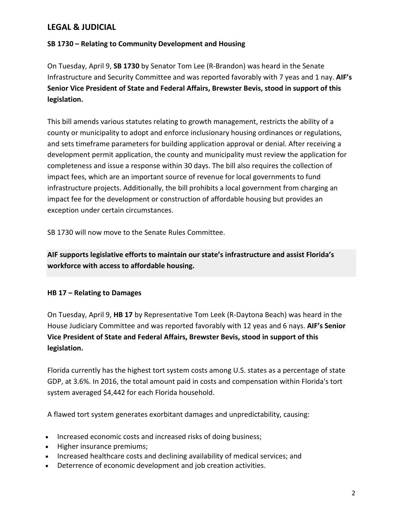## **LEGAL & JUDICIAL**

### **SB 1730 – Relating to Community Development and Housing**

On Tuesday, April 9, **SB 1730** by Senator Tom Lee (R-Brandon) was heard in the Senate Infrastructure and Security Committee and was reported favorably with 7 yeas and 1 nay. **AIF's Senior Vice President of State and Federal Affairs, Brewster Bevis, stood in support of this legislation.**

This bill amends various statutes relating to growth management, restricts the ability of a county or municipality to adopt and enforce inclusionary housing ordinances or regulations, and sets timeframe parameters for building application approval or denial. After receiving a development permit application, the county and municipality must review the application for completeness and issue a response within 30 days. The bill also requires the collection of impact fees, which are an important source of revenue for local governments to fund infrastructure projects. Additionally, the bill prohibits a local government from charging an impact fee for the development or construction of affordable housing but provides an exception under certain circumstances.

SB 1730 will now move to the Senate Rules Committee.

**AIF supports legislative efforts to maintain our state's infrastructure and assist Florida's workforce with access to affordable housing.**

#### **HB 17 – Relating to Damages**

On Tuesday, April 9, **HB 17** by Representative Tom Leek (R-Daytona Beach) was heard in the House Judiciary Committee and was reported favorably with 12 yeas and 6 nays. **AIF's Senior Vice President of State and Federal Affairs, Brewster Bevis, stood in support of this legislation.**

Florida currently has the highest tort system costs among U.S. states as a percentage of state GDP, at 3.6%. In 2016, the total amount paid in costs and compensation within Florida's tort system averaged \$4,442 for each Florida household.

A flawed tort system generates exorbitant damages and unpredictability, causing:

- Increased economic costs and increased risks of doing business;
- Higher insurance premiums;
- Increased healthcare costs and declining availability of medical services; and
- Deterrence of economic development and job creation activities.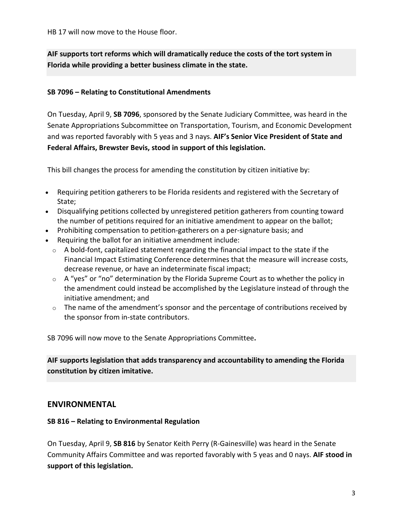HB 17 will now move to the House floor.

**AIF supports tort reforms which will dramatically reduce the costs of the tort system in Florida while providing a better business climate in the state.**

#### **SB 7096 – Relating to Constitutional Amendments**

On Tuesday, April 9, **SB 7096**, sponsored by the Senate Judiciary Committee, was heard in the Senate Appropriations Subcommittee on Transportation, Tourism, and Economic Development and was reported favorably with 5 yeas and 3 nays. **AIF's Senior Vice President of State and Federal Affairs, Brewster Bevis, stood in support of this legislation.**

This bill changes the process for amending the constitution by citizen initiative by:

- Requiring petition gatherers to be Florida residents and registered with the Secretary of State;
- Disqualifying petitions collected by unregistered petition gatherers from counting toward the number of petitions required for an initiative amendment to appear on the ballot;
- Prohibiting compensation to petition-gatherers on a per-signature basis; and
- Requiring the ballot for an initiative amendment include:
	- o A bold-font, capitalized statement regarding the financial impact to the state if the Financial Impact Estimating Conference determines that the measure will increase costs, decrease revenue, or have an indeterminate fiscal impact;
	- $\circ$  A "yes" or "no" determination by the Florida Supreme Court as to whether the policy in the amendment could instead be accomplished by the Legislature instead of through the initiative amendment; and
	- $\circ$  The name of the amendment's sponsor and the percentage of contributions received by the sponsor from in-state contributors.

SB 7096 will now move to the Senate Appropriations Committee**.**

**AIF supports legislation that adds transparency and accountability to amending the Florida constitution by citizen imitative.**

#### **ENVIRONMENTAL**

#### **SB 816 – Relating to Environmental Regulation**

On Tuesday, April 9, **SB 816** by Senator Keith Perry (R-Gainesville) was heard in the Senate Community Affairs Committee and was reported favorably with 5 yeas and 0 nays. **AIF stood in support of this legislation.**